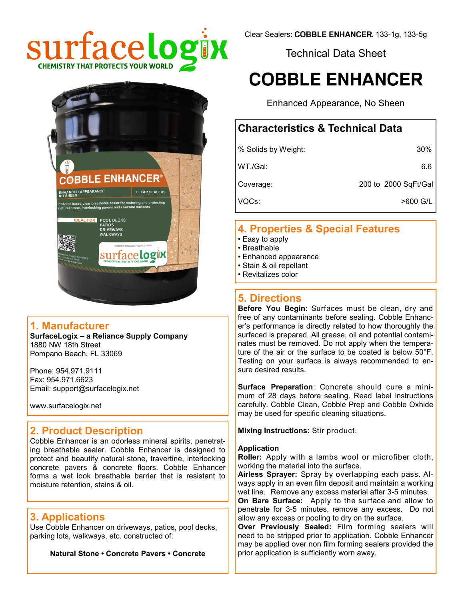

Technical Data Sheet

# **COBBLE ENHANCER**

Enhanced Appearance, No Sheen

# **Characteristics & Technical Data**

| % Solids by Weight: | 30%                  |
|---------------------|----------------------|
| WT./Gal:            | 6.6                  |
| Coverage:           | 200 to 2000 SqFt/Gal |
| VOCs:               | >600 G/L             |

# **4. Properties & Special Features**

- Easy to apply
- Breathable
- Enhanced appearance
- Stain & oil repellant
- Revitalizes color

# **5. Directions**

**Before You Begin**: Surfaces must be clean, dry and free of any contaminants before sealing. Cobble Enhancer's performance is directly related to how thoroughly the surfaced is prepared. All grease, oil and potential contaminates must be removed. Do not apply when the temperature of the air or the surface to be coated is below 50°F. Testing on your surface is always recommended to ensure desired results.

**Surface Preparation**: Concrete should cure a minimum of 28 days before sealing. Read label instructions carefully. Cobble Clean, Cobble Prep and Cobble Oxhide may be used for specific cleaning situations.

**Mixing Instructions:** Stir product.

#### **Application**

**Roller:** Apply with a lambs wool or microfiber cloth, working the material into the surface.

**Airless Sprayer:** Spray by overlapping each pass. Always apply in an even film deposit and maintain a working wet line.Remove any excess material after 3-5 minutes.

**On Bare Surface:** Apply to the surface and allow to penetrate for 3-5 minutes, remove any excess. Do not allow any excess or pooling to dry on the surface.

**Over Previously Sealed:** Film forming sealers will need to be stripped prior to application. Cobble Enhancer may be applied over non film forming sealers provided the prior application is sufficiently worn away.



#### **1. Manufacturer**

**SurfaceLogix – a Reliance Supply Company** 1880 NW 18th Street Pompano Beach, FL 33069

Phone: 954.971.9111 Fax: 954.971.6623 Email: support@surfacelogix.net

www.surfacelogix.net

### **2. Product Description**

Cobble Enhancer is an odorless mineral spirits, penetrating breathable sealer. Cobble Enhancer is designed to protect and beautify natural stone, travertine, interlocking concrete pavers & concrete floors. Cobble Enhancer forms a wet look breathable barrier that is resistant to moisture retention, stains & oil.

### **3. Applications**

Use Cobble Enhancer on driveways, patios, pool decks, parking lots, walkways, etc. constructed of:

**Natural Stone • Concrete Pavers • Concrete**